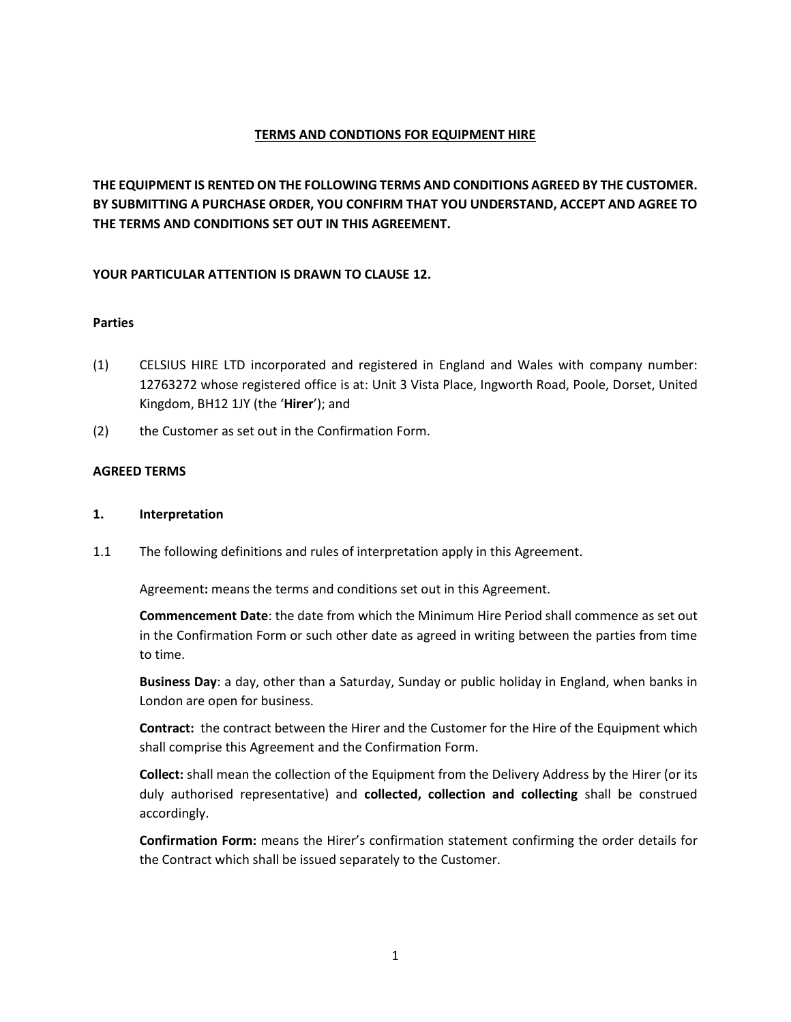# **TERMS AND CONDTIONS FOR EQUIPMENT HIRE**

**THE EQUIPMENT IS RENTED ON THE FOLLOWING TERMS AND CONDITIONS AGREED BY THE CUSTOMER. BY SUBMITTING A PURCHASE ORDER, YOU CONFIRM THAT YOU UNDERSTAND, ACCEPT AND AGREE TO THE TERMS AND CONDITIONS SET OUT IN THIS AGREEMENT.** 

# **YOUR PARTICULAR ATTENTION IS DRAWN TO CLAUSE 12.**

## **Parties**

- (1) CELSIUS HIRE LTD incorporated and registered in England and Wales with company number: 12763272 whose registered office is at: Unit 3 Vista Place, Ingworth Road, Poole, Dorset, United Kingdom, BH12 1JY (the '**Hirer**'); and
- (2) the Customer as set out in the Confirmation Form.

## **AGREED TERMS**

## **1. Interpretation**

1.1 The following definitions and rules of interpretation apply in this Agreement.

Agreement**:** means the terms and conditions set out in this Agreement.

**Commencement Date**: the date from which the Minimum Hire Period shall commence as set out in the Confirmation Form or such other date as agreed in writing between the parties from time to time.

**Business Day**: a day, other than a Saturday, Sunday or public holiday in England, when banks in London are open for business.

**Contract:** the contract between the Hirer and the Customer for the Hire of the Equipment which shall comprise this Agreement and the Confirmation Form.

**Collect:** shall mean the collection of the Equipment from the Delivery Address by the Hirer (or its duly authorised representative) and **collected, collection and collecting** shall be construed accordingly.

**Confirmation Form:** means the Hirer's confirmation statement confirming the order details for the Contract which shall be issued separately to the Customer.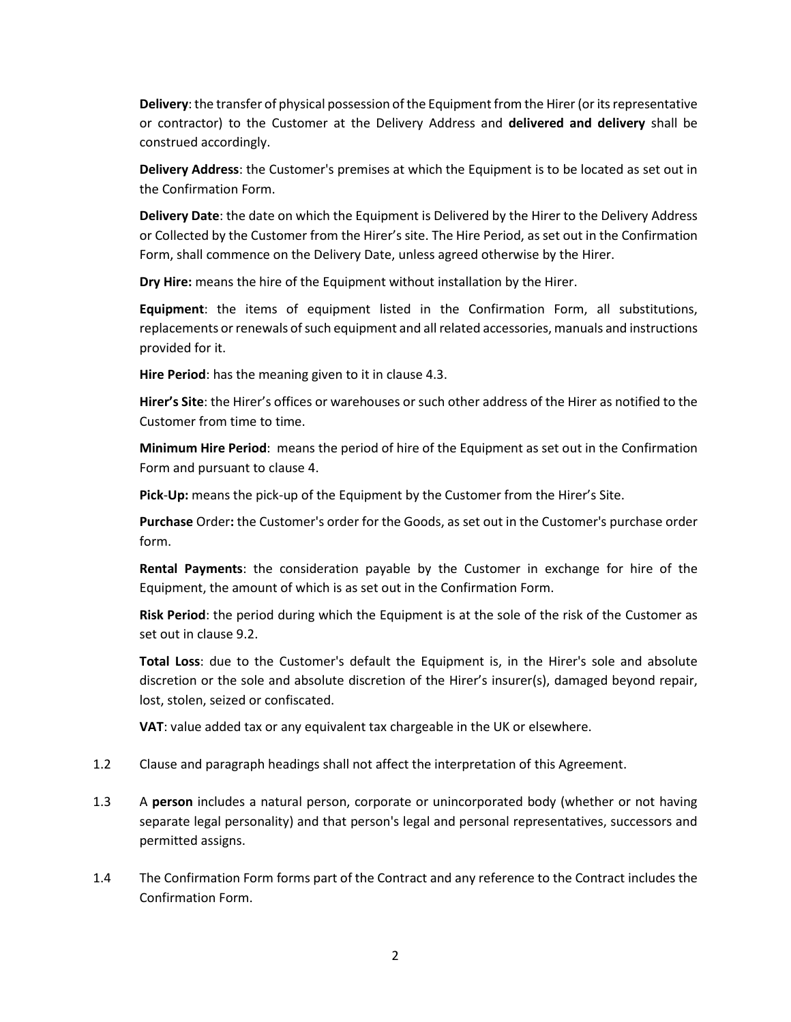**Delivery**: the transfer of physical possession of the Equipment from the Hirer (or its representative or contractor) to the Customer at the Delivery Address and **delivered and delivery** shall be construed accordingly.

**Delivery Address**: the Customer's premises at which the Equipment is to be located as set out in the Confirmation Form.

**Delivery Date**: the date on which the Equipment is Delivered by the Hirer to the Delivery Address or Collected by the Customer from the Hirer's site. The Hire Period, as set out in the Confirmation Form, shall commence on the Delivery Date, unless agreed otherwise by the Hirer.

**Dry Hire:** means the hire of the Equipment without installation by the Hirer.

**Equipment**: the items of equipment listed in the Confirmation Form, all substitutions, replacements or renewals of such equipment and all related accessories, manuals and instructions provided for it.

**Hire Period**: has the meaning given to it in clause 4.3.

**Hirer's Site**: the Hirer's offices or warehouses or such other address of the Hirer as notified to the Customer from time to time.

**Minimum Hire Period**: means the period of hire of the Equipment as set out in the Confirmation Form and pursuant to [clause 4](#page-4-0).

**Pick**-**Up:** means the pick-up of the Equipment by the Customer from the Hirer's Site.

**Purchase** Order**:** the Customer's order for the Goods, as set out in the Customer's purchase order form.

**Rental Payments**: the consideration payable by the Customer in exchange for hire of the Equipment, the amount of which is as set out in the Confirmation Form.

**Risk Period**: the period during which the Equipment is at the sole of the risk of the Customer as set out i[n clause 9.2.](#page-9-0)

**Total Loss**: due to the Customer's default the Equipment is, in the Hirer's sole and absolute discretion or the sole and absolute discretion of the Hirer's insurer(s), damaged beyond repair, lost, stolen, seized or confiscated.

**VAT**: value added tax or any equivalent tax chargeable in the UK or elsewhere.

- 1.2 Clause and paragraph headings shall not affect the interpretation of this Agreement.
- 1.3 A **person** includes a natural person, corporate or unincorporated body (whether or not having separate legal personality) and that person's legal and personal representatives, successors and permitted assigns.
- 1.4 The Confirmation Form forms part of the Contract and any reference to the Contract includes the Confirmation Form.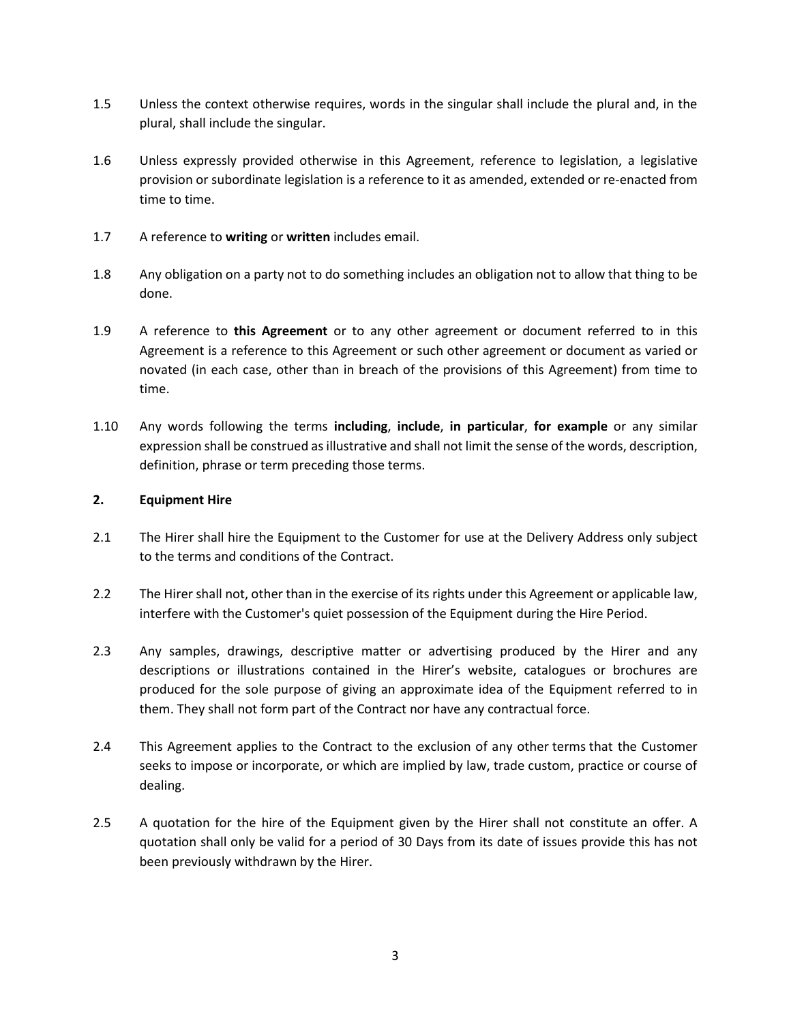- 1.5 Unless the context otherwise requires, words in the singular shall include the plural and, in the plural, shall include the singular.
- 1.6 Unless expressly provided otherwise in this Agreement, reference to legislation, a legislative provision or subordinate legislation is a reference to it as amended, extended or re-enacted from time to time.
- 1.7 A reference to **writing** or **written** includes email.
- 1.8 Any obligation on a party not to do something includes an obligation not to allow that thing to be done.
- 1.9 A reference to **this Agreement** or to any other agreement or document referred to in this Agreement is a reference to this Agreement or such other agreement or document as varied or novated (in each case, other than in breach of the provisions of this Agreement) from time to time.
- 1.10 Any words following the terms **including**, **include**, **in particular**, **for example** or any similar expression shall be construed as illustrative and shall not limit the sense of the words, description, definition, phrase or term preceding those terms.

## **2. Equipment Hire**

- 2.1 The Hirer shall hire the Equipment to the Customer for use at the Delivery Address only subject to the terms and conditions of the Contract.
- 2.2 The Hirer shall not, other than in the exercise of its rights under this Agreement or applicable law, interfere with the Customer's quiet possession of the Equipment during the Hire Period.
- 2.3 Any samples, drawings, descriptive matter or advertising produced by the Hirer and any descriptions or illustrations contained in the Hirer's website, catalogues or brochures are produced for the sole purpose of giving an approximate idea of the Equipment referred to in them. They shall not form part of the Contract nor have any contractual force.
- 2.4 This Agreement applies to the Contract to the exclusion of any other terms that the Customer seeks to impose or incorporate, or which are implied by law, trade custom, practice or course of dealing.
- 2.5 A quotation for the hire of the Equipment given by the Hirer shall not constitute an offer. A quotation shall only be valid for a period of 30 Days from its date of issues provide this has not been previously withdrawn by the Hirer.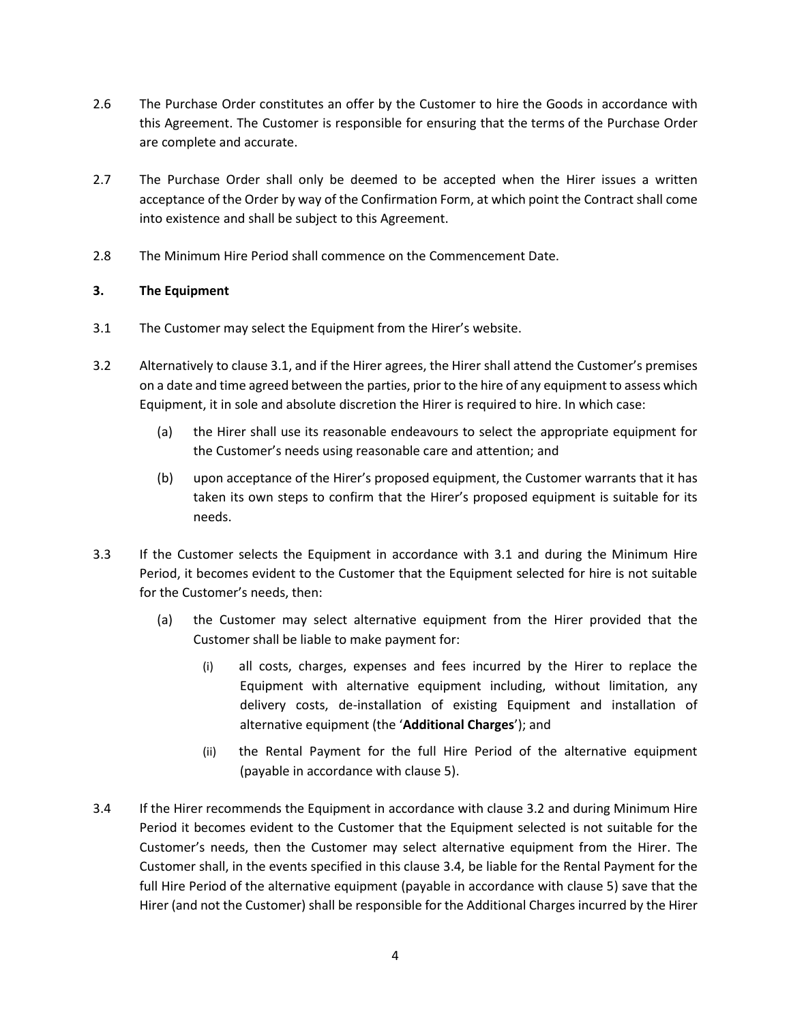- 2.6 The Purchase Order constitutes an offer by the Customer to hire the Goods in accordance with this Agreement. The Customer is responsible for ensuring that the terms of the Purchase Order are complete and accurate.
- 2.7 The Purchase Order shall only be deemed to be accepted when the Hirer issues a written acceptance of the Order by way of the Confirmation Form, at which point the Contract shall come into existence and shall be subject to this Agreement.
- 2.8 The Minimum Hire Period shall commence on the Commencement Date.

# **3. The Equipment**

- 3.1 The Customer may select the Equipment from the Hirer's website.
- 3.2 Alternatively to clause 3.1, and if the Hirer agrees, the Hirer shall attend the Customer's premises on a date and time agreed between the parties, prior to the hire of any equipment to assess which Equipment, it in sole and absolute discretion the Hirer is required to hire. In which case:
	- (a) the Hirer shall use its reasonable endeavours to select the appropriate equipment for the Customer's needs using reasonable care and attention; and
	- (b) upon acceptance of the Hirer's proposed equipment, the Customer warrants that it has taken its own steps to confirm that the Hirer's proposed equipment is suitable for its needs.
- 3.3 If the Customer selects the Equipment in accordance with 3.1 and during the Minimum Hire Period, it becomes evident to the Customer that the Equipment selected for hire is not suitable for the Customer's needs, then:
	- (a) the Customer may select alternative equipment from the Hirer provided that the Customer shall be liable to make payment for:
		- (i) all costs, charges, expenses and fees incurred by the Hirer to replace the Equipment with alternative equipment including, without limitation, any delivery costs, de-installation of existing Equipment and installation of alternative equipment (the '**Additional Charges**'); and
		- (ii) the Rental Payment for the full Hire Period of the alternative equipment (payable in accordance with clause 5).
- 3.4 If the Hirer recommends the Equipment in accordance with clause 3.2 and during Minimum Hire Period it becomes evident to the Customer that the Equipment selected is not suitable for the Customer's needs, then the Customer may select alternative equipment from the Hirer. The Customer shall, in the events specified in this clause 3.4, be liable for the Rental Payment for the full Hire Period of the alternative equipment (payable in accordance with clause 5) save that the Hirer (and not the Customer) shall be responsible for the Additional Charges incurred by the Hirer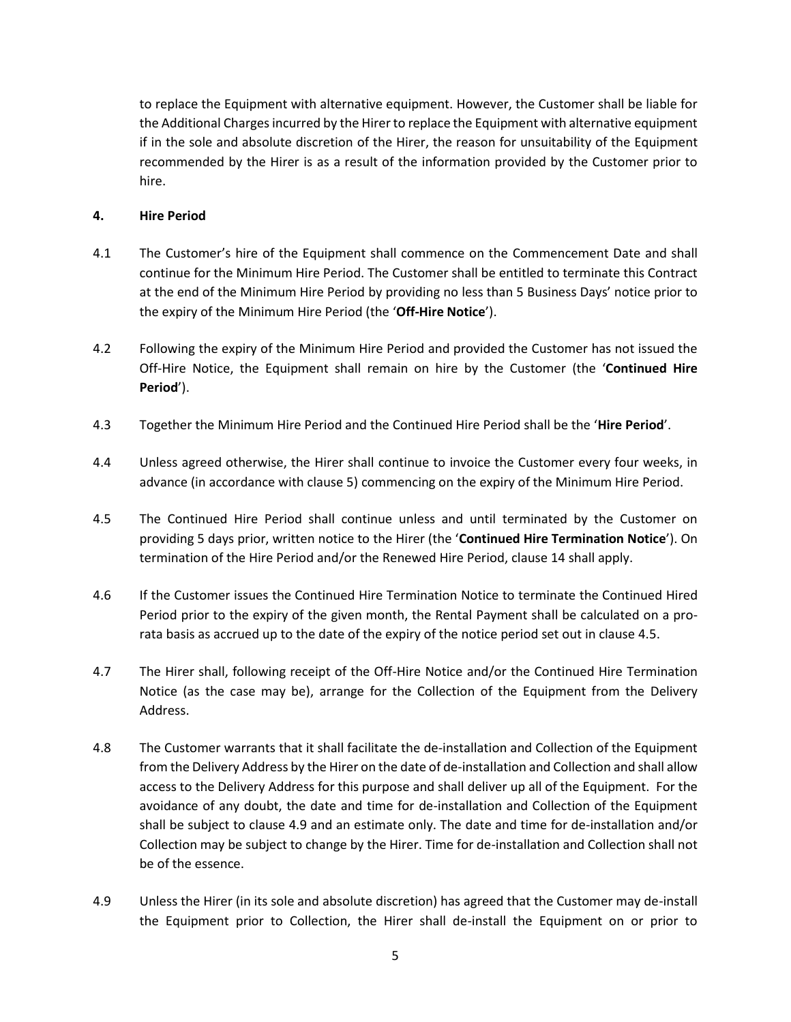to replace the Equipment with alternative equipment. However, the Customer shall be liable for the Additional Charges incurred by the Hirer to replace the Equipment with alternative equipment if in the sole and absolute discretion of the Hirer, the reason for unsuitability of the Equipment recommended by the Hirer is as a result of the information provided by the Customer prior to hire.

## <span id="page-4-0"></span>**4. Hire Period**

- 4.1 The Customer's hire of the Equipment shall commence on the Commencement Date and shall continue for the Minimum Hire Period. The Customer shall be entitled to terminate this Contract at the end of the Minimum Hire Period by providing no less than 5 Business Days' notice prior to the expiry of the Minimum Hire Period (the '**Off-Hire Notice**').
- 4.2 Following the expiry of the Minimum Hire Period and provided the Customer has not issued the Off-Hire Notice, the Equipment shall remain on hire by the Customer (the '**Continued Hire Period**').
- 4.3 Together the Minimum Hire Period and the Continued Hire Period shall be the '**Hire Period**'.
- 4.4 Unless agreed otherwise, the Hirer shall continue to invoice the Customer every four weeks, in advance (in accordance with clause 5) commencing on the expiry of the Minimum Hire Period.
- 4.5 The Continued Hire Period shall continue unless and until terminated by the Customer on providing 5 days prior, written notice to the Hirer (the '**Continued Hire Termination Notice**'). On termination of the Hire Period and/or the Renewed Hire Period, clause 14 shall apply.
- 4.6 If the Customer issues the Continued Hire Termination Notice to terminate the Continued Hired Period prior to the expiry of the given month, the Rental Payment shall be calculated on a prorata basis as accrued up to the date of the expiry of the notice period set out in clause 4.5.
- 4.7 The Hirer shall, following receipt of the Off-Hire Notice and/or the Continued Hire Termination Notice (as the case may be), arrange for the Collection of the Equipment from the Delivery Address.
- 4.8 The Customer warrants that it shall facilitate the de-installation and Collection of the Equipment from the Delivery Address by the Hirer on the date of de-installation and Collection and shall allow access to the Delivery Address for this purpose and shall deliver up all of the Equipment. For the avoidance of any doubt, the date and time for de-installation and Collection of the Equipment shall be subject to clause 4.9 and an estimate only. The date and time for de-installation and/or Collection may be subject to change by the Hirer. Time for de-installation and Collection shall not be of the essence.
- 4.9 Unless the Hirer (in its sole and absolute discretion) has agreed that the Customer may de-install the Equipment prior to Collection, the Hirer shall de-install the Equipment on or prior to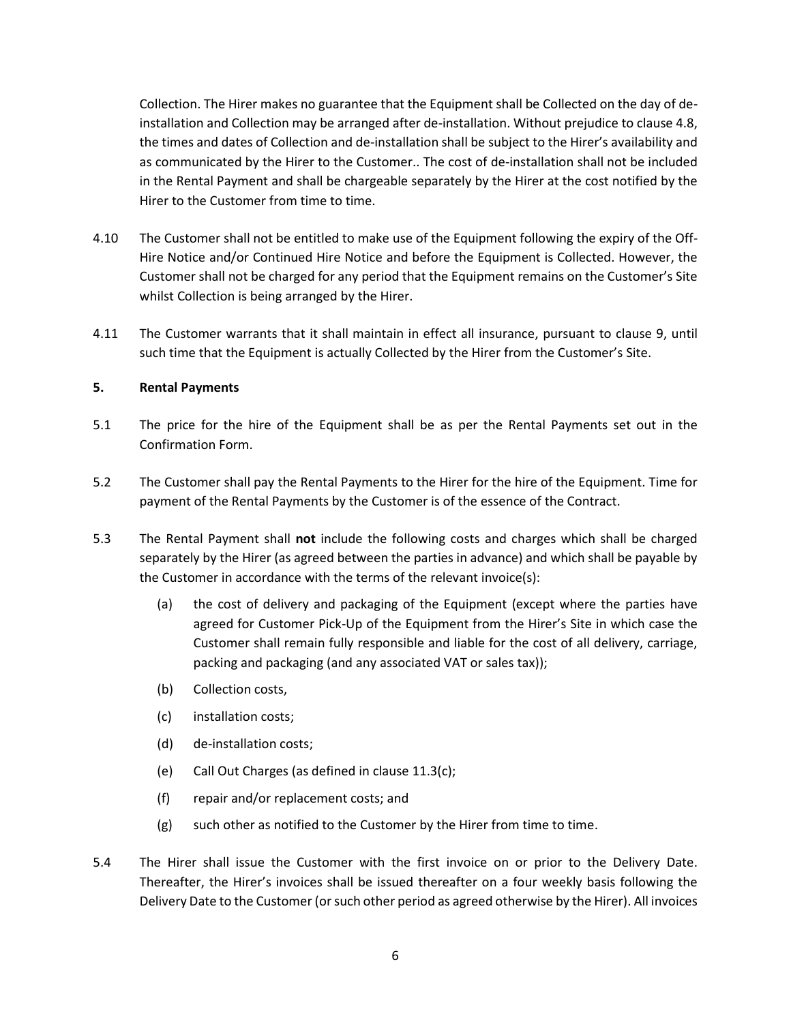Collection. The Hirer makes no guarantee that the Equipment shall be Collected on the day of deinstallation and Collection may be arranged after de-installation. Without prejudice to clause 4.8, the times and dates of Collection and de-installation shall be subject to the Hirer's availability and as communicated by the Hirer to the Customer.. The cost of de-installation shall not be included in the Rental Payment and shall be chargeable separately by the Hirer at the cost notified by the Hirer to the Customer from time to time.

- 4.10 The Customer shall not be entitled to make use of the Equipment following the expiry of the Off-Hire Notice and/or Continued Hire Notice and before the Equipment is Collected. However, the Customer shall not be charged for any period that the Equipment remains on the Customer's Site whilst Collection is being arranged by the Hirer.
- 4.11 The Customer warrants that it shall maintain in effect all insurance, pursuant to clause 9, until such time that the Equipment is actually Collected by the Hirer from the Customer's Site.

## **5. Rental Payments**

- 5.1 The price for the hire of the Equipment shall be as per the Rental Payments set out in the Confirmation Form.
- 5.2 The Customer shall pay the Rental Payments to the Hirer for the hire of the Equipment. Time for payment of the Rental Payments by the Customer is of the essence of the Contract.
- 5.3 The Rental Payment shall **not** include the following costs and charges which shall be charged separately by the Hirer (as agreed between the parties in advance) and which shall be payable by the Customer in accordance with the terms of the relevant invoice(s):
	- (a) the cost of delivery and packaging of the Equipment (except where the parties have agreed for Customer Pick-Up of the Equipment from the Hirer's Site in which case the Customer shall remain fully responsible and liable for the cost of all delivery, carriage, packing and packaging (and any associated VAT or sales tax));
	- (b) Collection costs,
	- (c) installation costs;
	- (d) de-installation costs;
	- (e) Call Out Charges (as defined in clause 11.3(c);
	- (f) repair and/or replacement costs; and
	- (g) such other as notified to the Customer by the Hirer from time to time.
- 5.4 The Hirer shall issue the Customer with the first invoice on or prior to the Delivery Date. Thereafter, the Hirer's invoices shall be issued thereafter on a four weekly basis following the Delivery Date to the Customer (or such other period as agreed otherwise by the Hirer). All invoices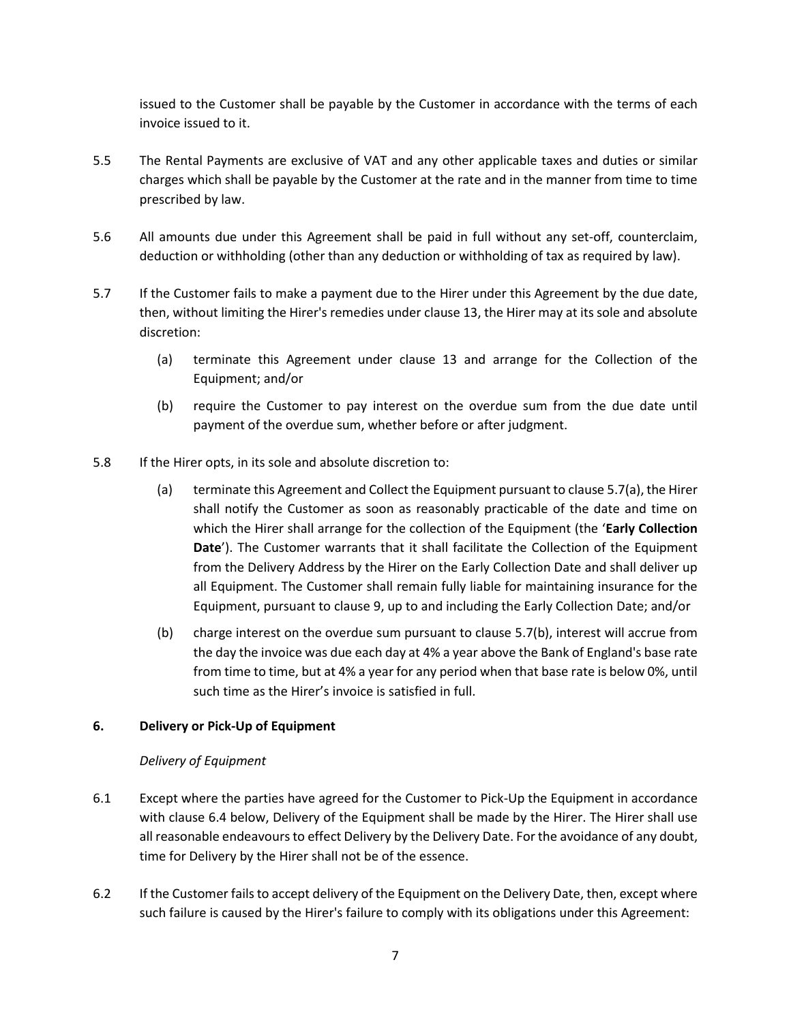issued to the Customer shall be payable by the Customer in accordance with the terms of each invoice issued to it.

- 5.5 The Rental Payments are exclusive of VAT and any other applicable taxes and duties or similar charges which shall be payable by the Customer at the rate and in the manner from time to time prescribed by law.
- 5.6 All amounts due under this Agreement shall be paid in full without any set-off, counterclaim, deduction or withholding (other than any deduction or withholding of tax as required by law).
- <span id="page-6-1"></span>5.7 If the Customer fails to make a payment due to the Hirer under this Agreement by the due date, then, without limiting the Hirer's remedies unde[r clause 13,](#page-14-0) the Hirer may at its sole and absolute discretion:
	- (a) terminate this Agreement under clause 13 and arrange for the Collection of the Equipment; and/or
	- (b) require the Customer to pay interest on the overdue sum from the due date until payment of the overdue sum, whether before or after judgment.
- 5.8 If the Hirer opts, in its sole and absolute discretion to:
	- (a) terminate this Agreement and Collect the Equipment pursuant to clause 5.7(a), the Hirer shall notify the Customer as soon as reasonably practicable of the date and time on which the Hirer shall arrange for the collection of the Equipment (the '**Early Collection Date**'). The Customer warrants that it shall facilitate the Collection of the Equipment from the Delivery Address by the Hirer on the Early Collection Date and shall deliver up all Equipment. The Customer shall remain fully liable for maintaining insurance for the Equipment, pursuant to clause 9, up to and including the Early Collection Date; and/or
	- (b) charge interest on the overdue sum pursuant to clause 5.7(b), interest will accrue from the day the invoice was due each day at 4% a year above the Bank of England's base rate from time to time, but at 4% a year for any period when that base rate is below 0%, until such time as the Hirer's invoice is satisfied in full.

## **6. Delivery or Pick-Up of Equipment**

## *Delivery of Equipment*

- 6.1 Except where the parties have agreed for the Customer to Pick-Up the Equipment in accordance with clause 6.4 below, Delivery of the Equipment shall be made by the Hirer. The Hirer shall use all reasonable endeavours to effect Delivery by the Delivery Date. For the avoidance of any doubt, time for Delivery by the Hirer shall not be of the essence.
- <span id="page-6-0"></span>6.2 If the Customer fails to accept delivery of the Equipment on the Delivery Date, then, except where such failure is caused by the Hirer's failure to comply with its obligations under this Agreement: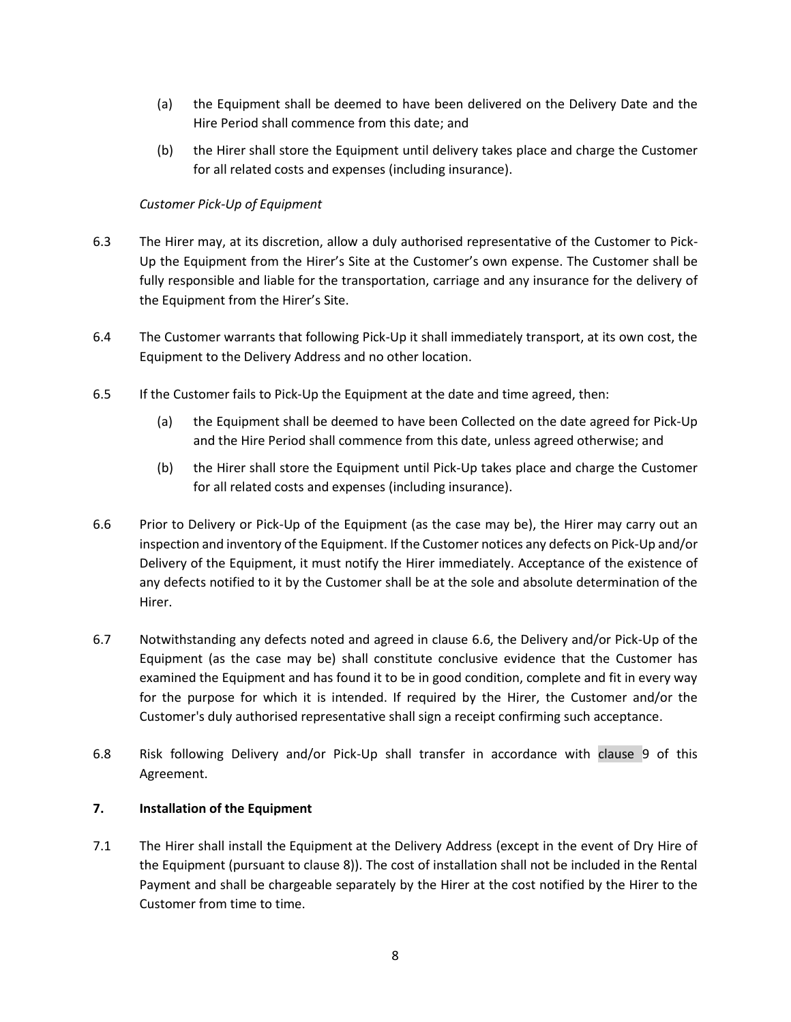- (a) the Equipment shall be deemed to have been delivered on the Delivery Date and the Hire Period shall commence from this date; and
- (b) the Hirer shall store the Equipment until delivery takes place and charge the Customer for all related costs and expenses (including insurance).

# *Customer Pick-Up of Equipment*

- 6.3 The Hirer may, at its discretion, allow a duly authorised representative of the Customer to Pick-Up the Equipment from the Hirer's Site at the Customer's own expense. The Customer shall be fully responsible and liable for the transportation, carriage and any insurance for the delivery of the Equipment from the Hirer's Site.
- 6.4 The Customer warrants that following Pick-Up it shall immediately transport, at its own cost, the Equipment to the Delivery Address and no other location.
- 6.5 If the Customer fails to Pick-Up the Equipment at the date and time agreed, then:
	- (a) the Equipment shall be deemed to have been Collected on the date agreed for Pick-Up and the Hire Period shall commence from this date, unless agreed otherwise; and
	- (b) the Hirer shall store the Equipment until Pick-Up takes place and charge the Customer for all related costs and expenses (including insurance).
- 6.6 Prior to Delivery or Pick-Up of the Equipment (as the case may be), the Hirer may carry out an inspection and inventory of the Equipment. If the Customer notices any defects on Pick-Up and/or Delivery of the Equipment, it must notify the Hirer immediately. Acceptance of the existence of any defects notified to it by the Customer shall be at the sole and absolute determination of the Hirer.
- 6.7 Notwithstanding any defects noted and agreed in clause 6.6, the Delivery and/or Pick-Up of the Equipment (as the case may be) shall constitute conclusive evidence that the Customer has examined the Equipment and has found it to be in good condition, complete and fit in every way for the purpose for which it is intended. If required by the Hirer, the Customer and/or the Customer's duly authorised representative shall sign a receipt confirming such acceptance.
- 6.8 Risk following Delivery and/or Pick-Up shall transfer in accordance with [clause 9](#page-6-0) of this Agreement.

## **7. Installation of the Equipment**

7.1 The Hirer shall install the Equipment at the Delivery Address (except in the event of Dry Hire of the Equipment (pursuant to clause 8)). The cost of installation shall not be included in the Rental Payment and shall be chargeable separately by the Hirer at the cost notified by the Hirer to the Customer from time to time.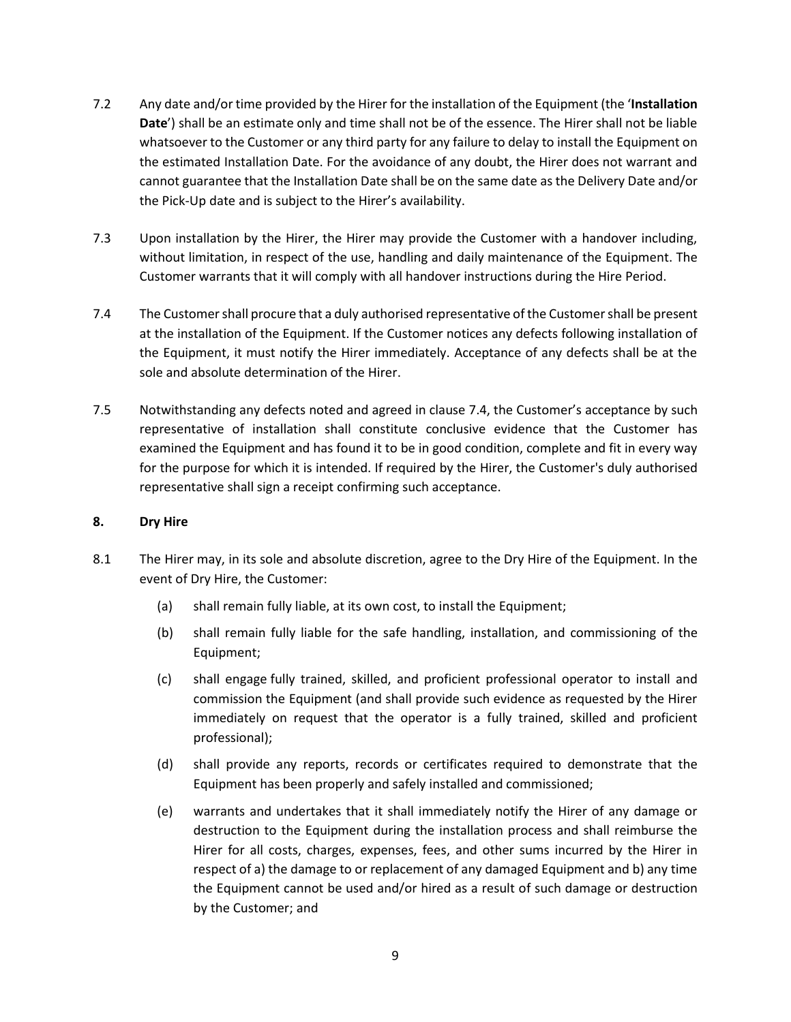- 7.2 Any date and/or time provided by the Hirer for the installation of the Equipment (the '**Installation Date**') shall be an estimate only and time shall not be of the essence. The Hirer shall not be liable whatsoever to the Customer or any third party for any failure to delay to install the Equipment on the estimated Installation Date. For the avoidance of any doubt, the Hirer does not warrant and cannot guarantee that the Installation Date shall be on the same date as the Delivery Date and/or the Pick-Up date and is subject to the Hirer's availability.
- 7.3 Upon installation by the Hirer, the Hirer may provide the Customer with a handover including, without limitation, in respect of the use, handling and daily maintenance of the Equipment. The Customer warrants that it will comply with all handover instructions during the Hire Period.
- 7.4 The Customershall procure that a duly authorised representative of the Customershall be present at the installation of the Equipment. If the Customer notices any defects following installation of the Equipment, it must notify the Hirer immediately. Acceptance of any defects shall be at the sole and absolute determination of the Hirer.
- 7.5 Notwithstanding any defects noted and agreed in clause 7.4, the Customer's acceptance by such representative of installation shall constitute conclusive evidence that the Customer has examined the Equipment and has found it to be in good condition, complete and fit in every way for the purpose for which it is intended. If required by the Hirer, the Customer's duly authorised representative shall sign a receipt confirming such acceptance.

## **8. Dry Hire**

- 8.1 The Hirer may, in its sole and absolute discretion, agree to the Dry Hire of the Equipment. In the event of Dry Hire, the Customer:
	- (a) shall remain fully liable, at its own cost, to install the Equipment;
	- (b) shall remain fully liable for the safe handling, installation, and commissioning of the Equipment;
	- (c) shall engage fully trained, skilled, and proficient professional operator to install and commission the Equipment (and shall provide such evidence as requested by the Hirer immediately on request that the operator is a fully trained, skilled and proficient professional);
	- (d) shall provide any reports, records or certificates required to demonstrate that the Equipment has been properly and safely installed and commissioned;
	- (e) warrants and undertakes that it shall immediately notify the Hirer of any damage or destruction to the Equipment during the installation process and shall reimburse the Hirer for all costs, charges, expenses, fees, and other sums incurred by the Hirer in respect of a) the damage to or replacement of any damaged Equipment and b) any time the Equipment cannot be used and/or hired as a result of such damage or destruction by the Customer; and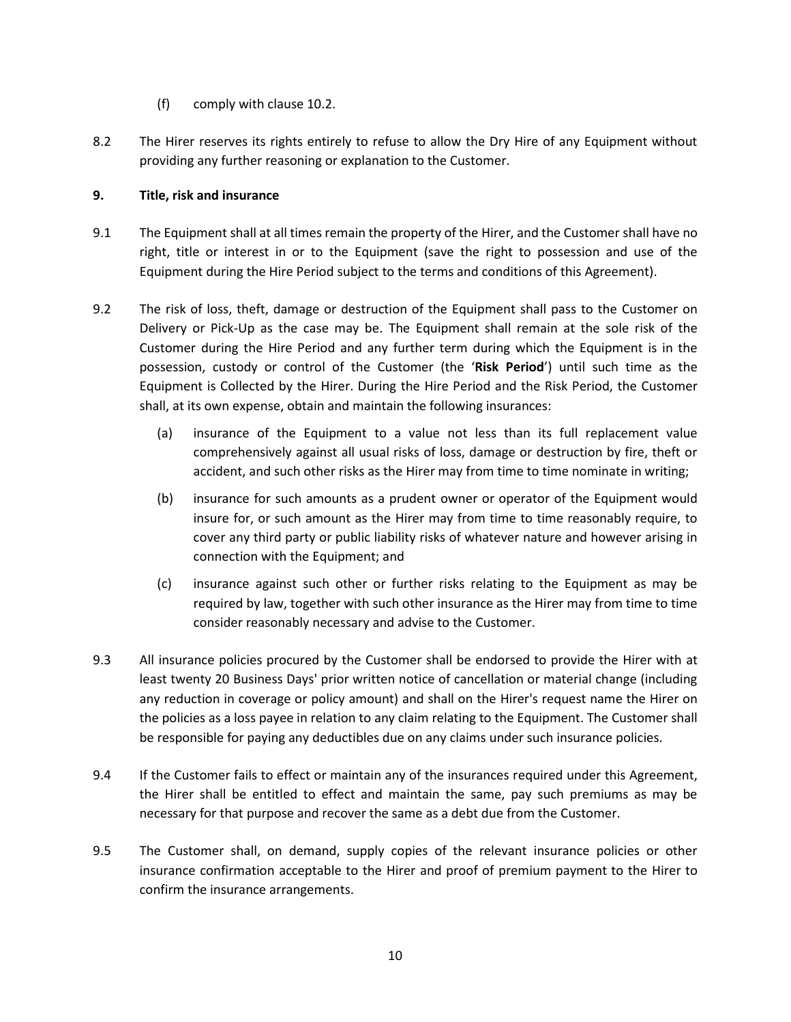- (f) comply with clause 10.2.
- 8.2 The Hirer reserves its rights entirely to refuse to allow the Dry Hire of any Equipment without providing any further reasoning or explanation to the Customer.

# **9. Title, risk and insurance**

- 9.1 The Equipment shall at all times remain the property of the Hirer, and the Customer shall have no right, title or interest in or to the Equipment (save the right to possession and use of the Equipment during the Hire Period subject to the terms and conditions of this Agreement).
- <span id="page-9-0"></span>9.2 The risk of loss, theft, damage or destruction of the Equipment shall pass to the Customer on Delivery or Pick-Up as the case may be. The Equipment shall remain at the sole risk of the Customer during the Hire Period and any further term during which the Equipment is in the possession, custody or control of the Customer (the '**Risk Period**') until such time as the Equipment is Collected by the Hirer. During the Hire Period and the Risk Period, the Customer shall, at its own expense, obtain and maintain the following insurances:
	- (a) insurance of the Equipment to a value not less than its full replacement value comprehensively against all usual risks of loss, damage or destruction by fire, theft or accident, and such other risks as the Hirer may from time to time nominate in writing;
	- (b) insurance for such amounts as a prudent owner or operator of the Equipment would insure for, or such amount as the Hirer may from time to time reasonably require, to cover any third party or public liability risks of whatever nature and however arising in connection with the Equipment; and
	- (c) insurance against such other or further risks relating to the Equipment as may be required by law, together with such other insurance as the Hirer may from time to time consider reasonably necessary and advise to the Customer.
- 9.3 All insurance policies procured by the Customer shall be endorsed to provide the Hirer with at least twenty 20 Business Days' prior written notice of cancellation or material change (including any reduction in coverage or policy amount) and shall on the Hirer's request name the Hirer on the policies as a loss payee in relation to any claim relating to the Equipment. The Customer shall be responsible for paying any deductibles due on any claims under such insurance policies.
- 9.4 If the Customer fails to effect or maintain any of the insurances required under this Agreement, the Hirer shall be entitled to effect and maintain the same, pay such premiums as may be necessary for that purpose and recover the same as a debt due from the Customer.
- 9.5 The Customer shall, on demand, supply copies of the relevant insurance policies or other insurance confirmation acceptable to the Hirer and proof of premium payment to the Hirer to confirm the insurance arrangements.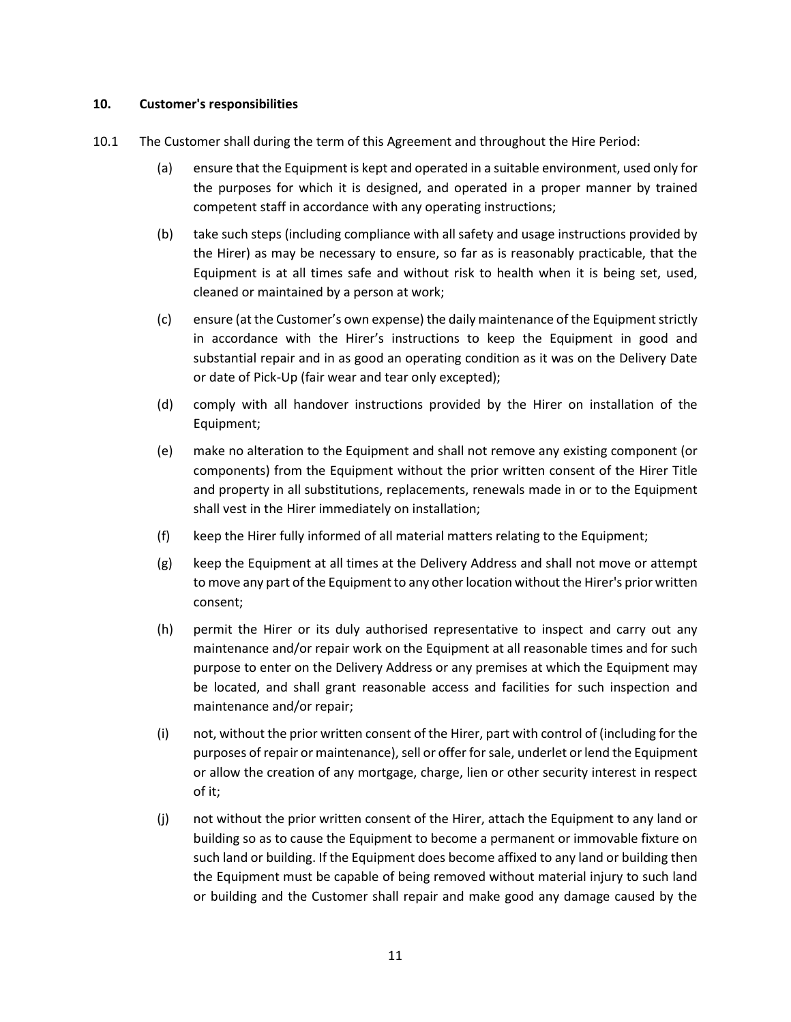#### <span id="page-10-0"></span>**10. Customer's responsibilities**

- 10.1 The Customer shall during the term of this Agreement and throughout the Hire Period:
	- (a) ensure that the Equipment is kept and operated in a suitable environment, used only for the purposes for which it is designed, and operated in a proper manner by trained competent staff in accordance with any operating instructions;
	- (b) take such steps (including compliance with all safety and usage instructions provided by the Hirer) as may be necessary to ensure, so far as is reasonably practicable, that the Equipment is at all times safe and without risk to health when it is being set, used, cleaned or maintained by a person at work;
	- (c) ensure (at the Customer's own expense) the daily maintenance of the Equipment strictly in accordance with the Hirer's instructions to keep the Equipment in good and substantial repair and in as good an operating condition as it was on the Delivery Date or date of Pick-Up (fair wear and tear only excepted);
	- (d) comply with all handover instructions provided by the Hirer on installation of the Equipment;
	- (e) make no alteration to the Equipment and shall not remove any existing component (or components) from the Equipment without the prior written consent of the Hirer Title and property in all substitutions, replacements, renewals made in or to the Equipment shall vest in the Hirer immediately on installation;
	- (f) keep the Hirer fully informed of all material matters relating to the Equipment;
	- (g) keep the Equipment at all times at the Delivery Address and shall not move or attempt to move any part of the Equipment to any other location without the Hirer's prior written consent;
	- (h) permit the Hirer or its duly authorised representative to inspect and carry out any maintenance and/or repair work on the Equipment at all reasonable times and for such purpose to enter on the Delivery Address or any premises at which the Equipment may be located, and shall grant reasonable access and facilities for such inspection and maintenance and/or repair;
	- (i) not, without the prior written consent of the Hirer, part with control of (including for the purposes of repair or maintenance), sell or offer forsale, underlet or lend the Equipment or allow the creation of any mortgage, charge, lien or other security interest in respect of it;
	- (j) not without the prior written consent of the Hirer, attach the Equipment to any land or building so as to cause the Equipment to become a permanent or immovable fixture on such land or building. If the Equipment does become affixed to any land or building then the Equipment must be capable of being removed without material injury to such land or building and the Customer shall repair and make good any damage caused by the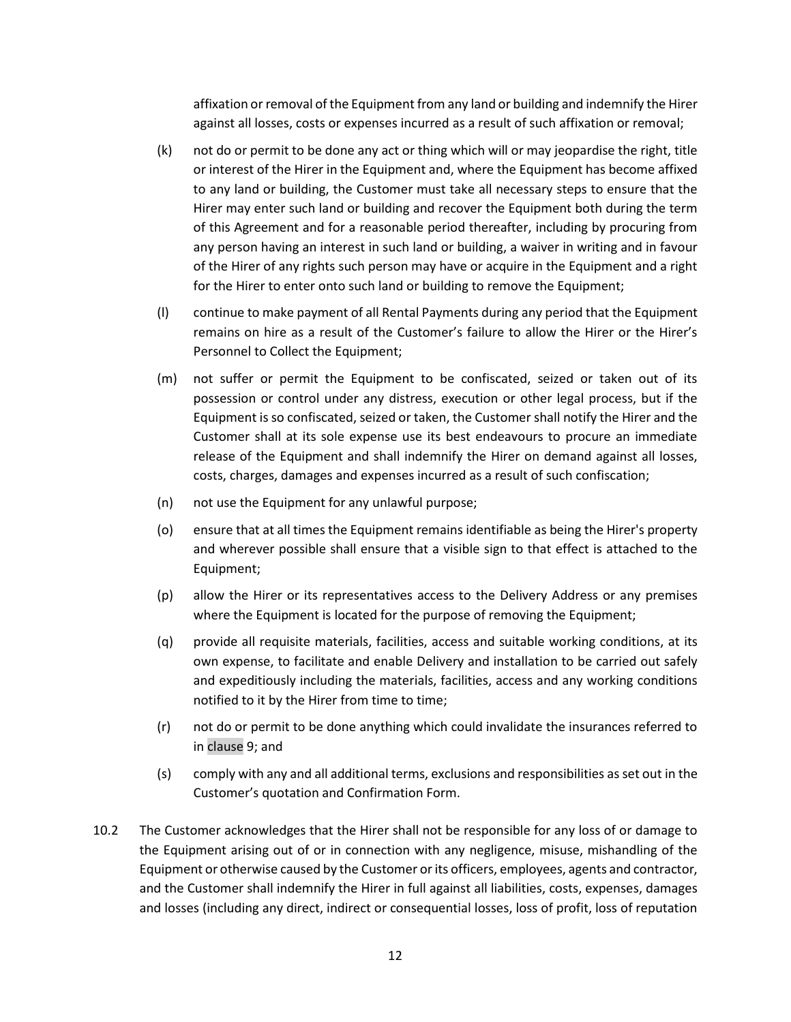affixation or removal of the Equipment from any land or building and indemnify the Hirer against all losses, costs or expenses incurred as a result of such affixation or removal;

- (k) not do or permit to be done any act or thing which will or may jeopardise the right, title or interest of the Hirer in the Equipment and, where the Equipment has become affixed to any land or building, the Customer must take all necessary steps to ensure that the Hirer may enter such land or building and recover the Equipment both during the term of this Agreement and for a reasonable period thereafter, including by procuring from any person having an interest in such land or building, a waiver in writing and in favour of the Hirer of any rights such person may have or acquire in the Equipment and a right for the Hirer to enter onto such land or building to remove the Equipment;
- (l) continue to make payment of all Rental Payments during any period that the Equipment remains on hire as a result of the Customer's failure to allow the Hirer or the Hirer's Personnel to Collect the Equipment;
- (m) not suffer or permit the Equipment to be confiscated, seized or taken out of its possession or control under any distress, execution or other legal process, but if the Equipment is so confiscated, seized or taken, the Customer shall notify the Hirer and the Customer shall at its sole expense use its best endeavours to procure an immediate release of the Equipment and shall indemnify the Hirer on demand against all losses, costs, charges, damages and expenses incurred as a result of such confiscation;
- (n) not use the Equipment for any unlawful purpose;
- (o) ensure that at all times the Equipment remains identifiable as being the Hirer's property and wherever possible shall ensure that a visible sign to that effect is attached to the Equipment;
- (p) allow the Hirer or its representatives access to the Delivery Address or any premises where the Equipment is located for the purpose of removing the Equipment;
- (q) provide all requisite materials, facilities, access and suitable working conditions, at its own expense, to facilitate and enable Delivery and installation to be carried out safely and expeditiously including the materials, facilities, access and any working conditions notified to it by the Hirer from time to time;
- (r) not do or permit to be done anything which could invalidate the insurances referred to i[n clause](#page-6-0) 9; and
- (s) comply with any and all additional terms, exclusions and responsibilities as set out in the Customer's quotation and Confirmation Form.
- 10.2 The Customer acknowledges that the Hirer shall not be responsible for any loss of or damage to the Equipment arising out of or in connection with any negligence, misuse, mishandling of the Equipment or otherwise caused by the Customer or its officers, employees, agents and contractor, and the Customer shall indemnify the Hirer in full against all liabilities, costs, expenses, damages and losses (including any direct, indirect or consequential losses, loss of profit, loss of reputation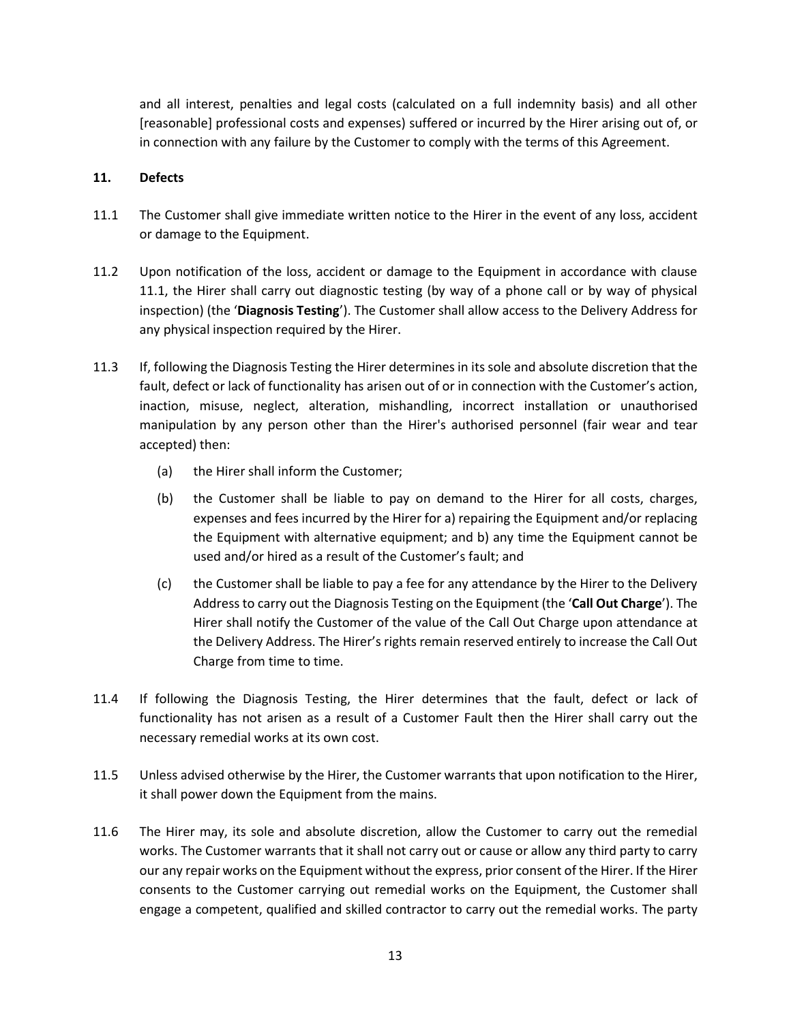and all interest, penalties and legal costs (calculated on a full indemnity basis) and all other [reasonable] professional costs and expenses) suffered or incurred by the Hirer arising out of, or in connection with any failure by the Customer to comply with the terms of this Agreement.

## **11. Defects**

- 11.1 The Customer shall give immediate written notice to the Hirer in the event of any loss, accident or damage to the Equipment.
- 11.2 Upon notification of the loss, accident or damage to the Equipment in accordance with clause 11.1, the Hirer shall carry out diagnostic testing (by way of a phone call or by way of physical inspection) (the '**Diagnosis Testing**'). The Customer shall allow access to the Delivery Address for any physical inspection required by the Hirer.
- 11.3 If, following the Diagnosis Testing the Hirer determines in its sole and absolute discretion that the fault, defect or lack of functionality has arisen out of or in connection with the Customer's action, inaction, misuse, neglect, alteration, mishandling, incorrect installation or unauthorised manipulation by any person other than the Hirer's authorised personnel (fair wear and tear accepted) then:
	- (a) the Hirer shall inform the Customer;
	- (b) the Customer shall be liable to pay on demand to the Hirer for all costs, charges, expenses and fees incurred by the Hirer for a) repairing the Equipment and/or replacing the Equipment with alternative equipment; and b) any time the Equipment cannot be used and/or hired as a result of the Customer's fault; and
	- (c) the Customer shall be liable to pay a fee for any attendance by the Hirer to the Delivery Address to carry out the Diagnosis Testing on the Equipment (the '**Call Out Charge**'). The Hirer shall notify the Customer of the value of the Call Out Charge upon attendance at the Delivery Address. The Hirer's rights remain reserved entirely to increase the Call Out Charge from time to time.
- 11.4 If following the Diagnosis Testing, the Hirer determines that the fault, defect or lack of functionality has not arisen as a result of a Customer Fault then the Hirer shall carry out the necessary remedial works at its own cost.
- 11.5 Unless advised otherwise by the Hirer, the Customer warrants that upon notification to the Hirer, it shall power down the Equipment from the mains.
- 11.6 The Hirer may, its sole and absolute discretion, allow the Customer to carry out the remedial works. The Customer warrants that it shall not carry out or cause or allow any third party to carry our any repair works on the Equipment without the express, prior consent of the Hirer. If the Hirer consents to the Customer carrying out remedial works on the Equipment, the Customer shall engage a competent, qualified and skilled contractor to carry out the remedial works. The party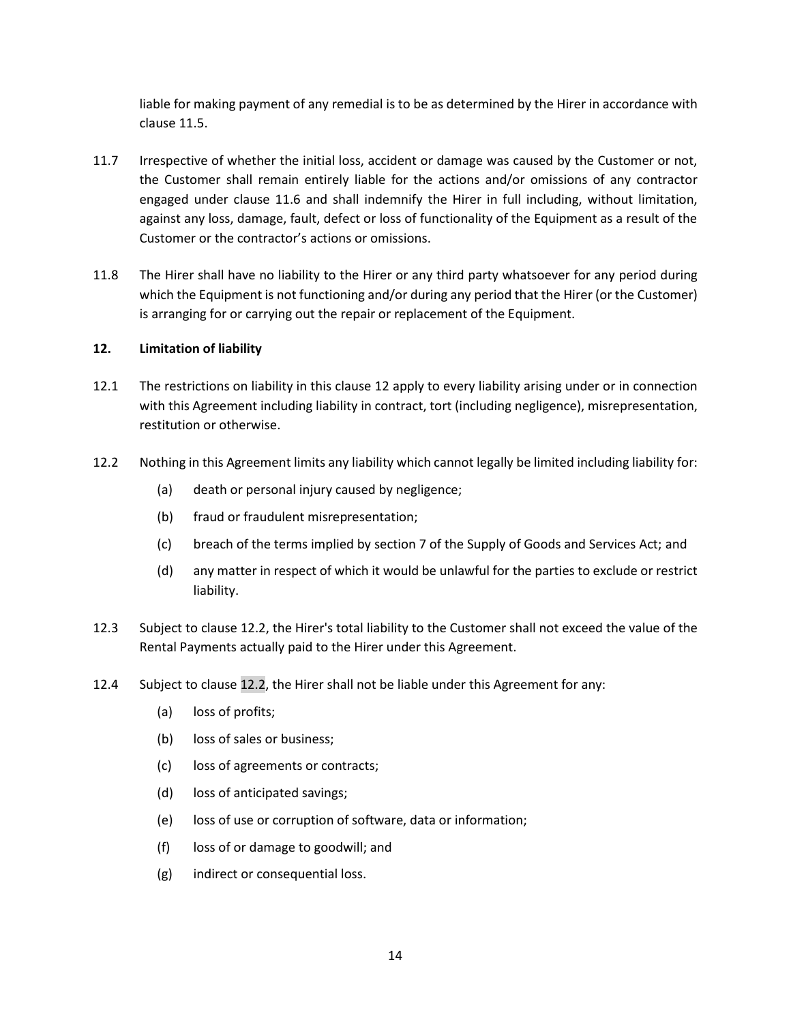liable for making payment of any remedial is to be as determined by the Hirer in accordance with clause 11.5.

- 11.7 Irrespective of whether the initial loss, accident or damage was caused by the Customer or not, the Customer shall remain entirely liable for the actions and/or omissions of any contractor engaged under clause 11.6 and shall indemnify the Hirer in full including, without limitation, against any loss, damage, fault, defect or loss of functionality of the Equipment as a result of the Customer or the contractor's actions or omissions.
- 11.8 The Hirer shall have no liability to the Hirer or any third party whatsoever for any period during which the Equipment is not functioning and/or during any period that the Hirer (or the Customer) is arranging for or carrying out the repair or replacement of the Equipment.

#### <span id="page-13-0"></span>**12. Limitation of liability**

- 12.1 The restrictions on liability in this [clause 12](#page-13-0) apply to every liability arising under or in connection with this Agreement including liability in contract, tort (including negligence), misrepresentation, restitution or otherwise.
- <span id="page-13-1"></span>12.2 Nothing in this Agreement limits any liability which cannot legally be limited including liability for:
	- (a) death or personal injury caused by negligence;
	- (b) fraud or fraudulent misrepresentation;
	- (c) breach of the terms implied by section 7 of the Supply of Goods and Services Act; and
	- (d) any matter in respect of which it would be unlawful for the parties to exclude or restrict liability.
- 12.3 Subject t[o clause 12.2,](#page-13-1) the Hirer's total liability to the Customer shall not exceed the value of the Rental Payments actually paid to the Hirer under this Agreement.
- 12.4 Subject t[o clause 12.2,](#page-13-1) the Hirer shall not be liable under this Agreement for any:
	- (a) loss of profits;
	- (b) loss of sales or business;
	- (c) loss of agreements or contracts;
	- (d) loss of anticipated savings;
	- (e) loss of use or corruption of software, data or information;
	- (f) loss of or damage to goodwill; and
	- (g) indirect or consequential loss.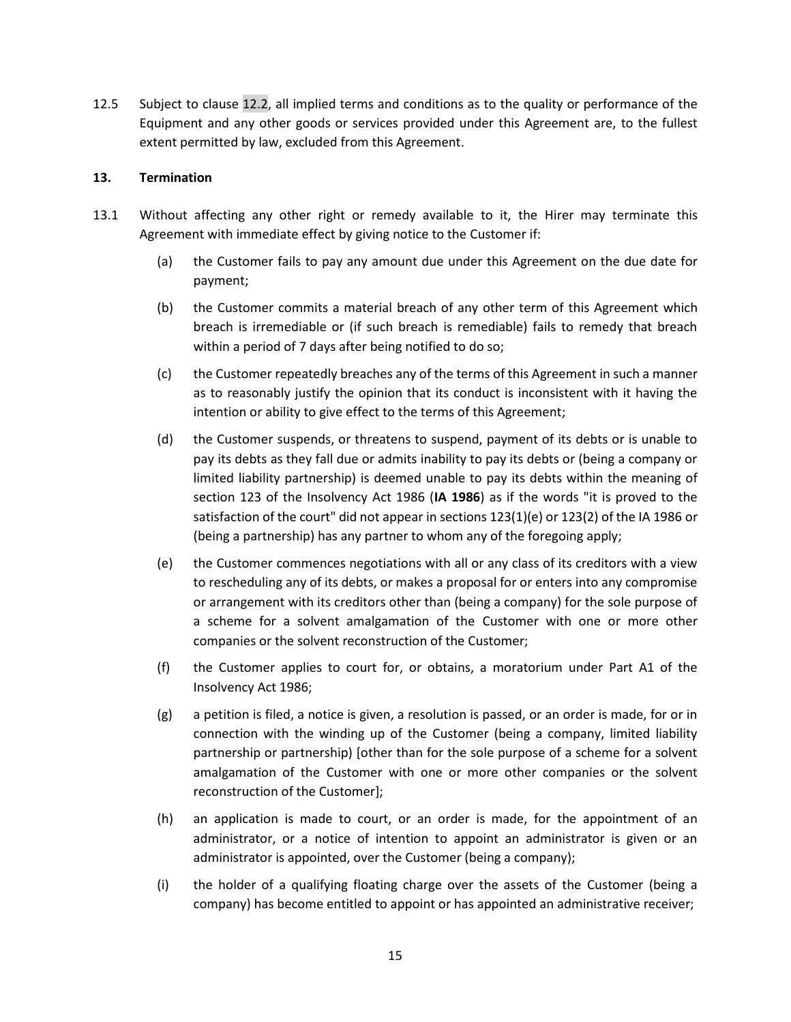12.5 Subject to [clause 12.2,](#page-13-1) all implied terms and conditions as to the quality or performance of the Equipment and any other goods or services provided under this Agreement are, to the fullest extent permitted by law, excluded from this Agreement.

#### <span id="page-14-0"></span>**13. Termination**

- <span id="page-14-3"></span><span id="page-14-2"></span><span id="page-14-1"></span>13.1 Without affecting any other right or remedy available to it, the Hirer may terminate this Agreement with immediate effect by giving notice to the Customer if:
	- (a) the Customer fails to pay any amount due under this Agreement on the due date for payment;
	- (b) the Customer commits a material breach of any other term of this Agreement which breach is irremediable or (if such breach is remediable) fails to remedy that breach within a period of 7 days after being notified to do so;
	- (c) the Customer repeatedly breaches any of the terms of this Agreement in such a manner as to reasonably justify the opinion that its conduct is inconsistent with it having the intention or ability to give effect to the terms of this Agreement;
	- (d) the Customer suspends, or threatens to suspend, payment of its debts or is unable to pay its debts as they fall due or admits inability to pay its debts or (being a company or limited liability partnership) is deemed unable to pay its debts within the meaning of section 123 of the Insolvency Act 1986 (**IA 1986**) as if the words "it is proved to the satisfaction of the court" did not appear in sections 123(1)(e) or 123(2) of the IA 1986 or (being a partnership) has any partner to whom any of the foregoing apply;
	- (e) the Customer commences negotiations with all or any class of its creditors with a view to rescheduling any of its debts, or makes a proposal for or enters into any compromise or arrangement with its creditors other than (being a company) for the sole purpose of a scheme for a solvent amalgamation of the Customer with one or more other companies or the solvent reconstruction of the Customer;
	- (f) the Customer applies to court for, or obtains, a moratorium under Part A1 of the Insolvency Act 1986;
	- (g) a petition is filed, a notice is given, a resolution is passed, or an order is made, for or in connection with the winding up of the Customer (being a company, limited liability partnership or partnership) [other than for the sole purpose of a scheme for a solvent amalgamation of the Customer with one or more other companies or the solvent reconstruction of the Customer];
	- (h) an application is made to court, or an order is made, for the appointment of an administrator, or a notice of intention to appoint an administrator is given or an administrator is appointed, over the Customer (being a company);
	- (i) the holder of a qualifying floating charge over the assets of the Customer (being a company) has become entitled to appoint or has appointed an administrative receiver;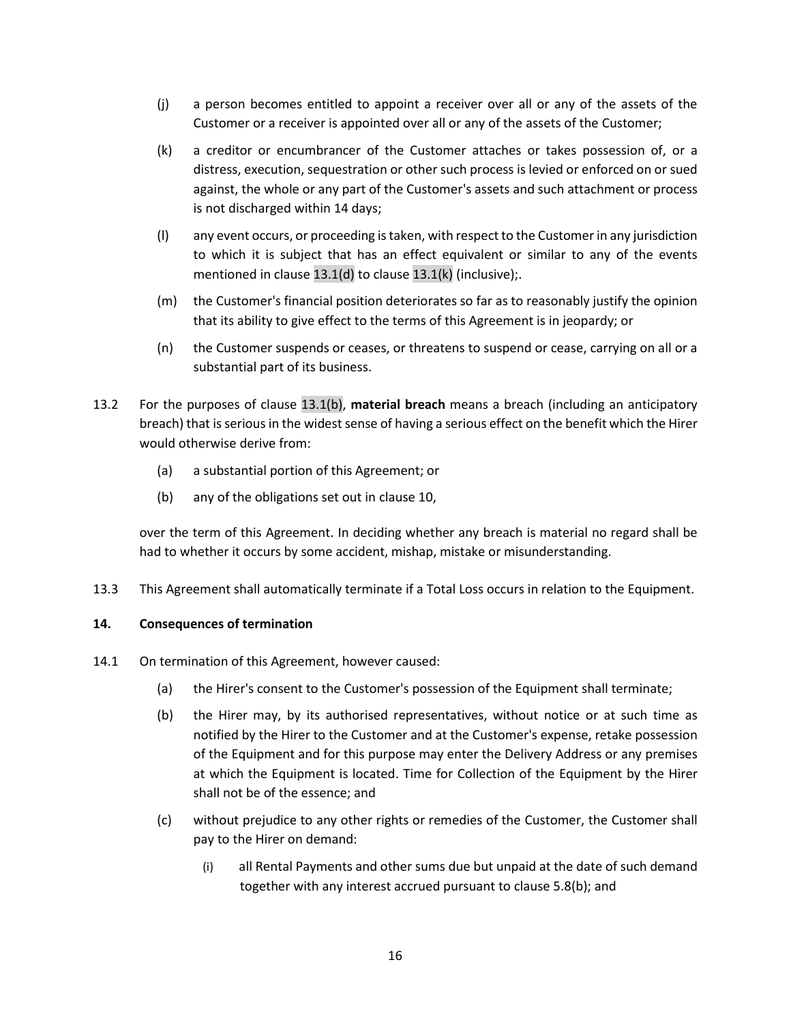- (j) a person becomes entitled to appoint a receiver over all or any of the assets of the Customer or a receiver is appointed over all or any of the assets of the Customer;
- <span id="page-15-0"></span>(k) a creditor or encumbrancer of the Customer attaches or takes possession of, or a distress, execution, sequestration or other such process is levied or enforced on or sued against, the whole or any part of the Customer's assets and such attachment or process is not discharged within 14 days;
- (l) any event occurs, or proceeding is taken, with respect to the Customer in any jurisdiction to which it is subject that has an effect equivalent or similar to any of the events mentioned in [clause 13.1\(d\)](#page-14-1) to [clause 13.1\(k\)](#page-15-0) (inclusive);.
- (m) the Customer's financial position deteriorates so far as to reasonably justify the opinion that its ability to give effect to the terms of this Agreement is in jeopardy; or
- (n) the Customer suspends or ceases, or threatens to suspend or cease, carrying on all or a substantial part of its business.
- 13.2 For the purposes of [clause 13.1\(b\),](#page-14-2) **material breach** means a breach (including an anticipatory breach) that is serious in the widest sense of having a serious effect on the benefit which the Hirer would otherwise derive from:
	- (a) a substantial portion of this Agreement; or
	- (b) any of the obligations set out i[n clause 1](#page-10-0)0,

over the term of this Agreement. In deciding whether any breach is material no regard shall be had to whether it occurs by some accident, mishap, mistake or misunderstanding.

<span id="page-15-1"></span>13.3 This Agreement shall automatically terminate if a Total Loss occurs in relation to the Equipment.

## **14. Consequences of termination**

- <span id="page-15-2"></span>14.1 On termination of this Agreement, however caused:
	- (a) the Hirer's consent to the Customer's possession of the Equipment shall terminate;
	- (b) the Hirer may, by its authorised representatives, without notice or at such time as notified by the Hirer to the Customer and at the Customer's expense, retake possession of the Equipment and for this purpose may enter the Delivery Address or any premises at which the Equipment is located. Time for Collection of the Equipment by the Hirer shall not be of the essence; and
	- (c) without prejudice to any other rights or remedies of the Customer, the Customer shall pay to the Hirer on demand:
		- (i) all Rental Payments and other sums due but unpaid at the date of such demand together with any interest accrued pursuant to [clause 5](#page-6-1).8(b); and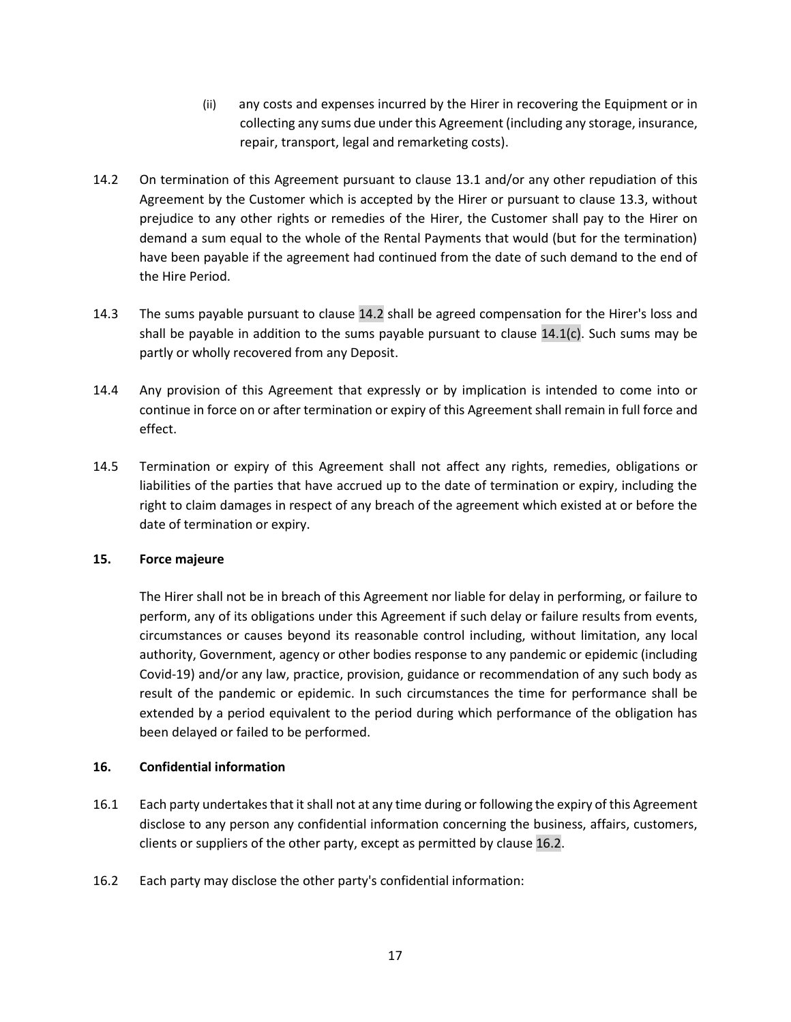- <span id="page-16-0"></span>(ii) any costs and expenses incurred by the Hirer in recovering the Equipment or in collecting any sums due under this Agreement (including any storage, insurance, repair, transport, legal and remarketing costs).
- 14.2 On termination of this Agreement pursuant to [clause 13.1](#page-14-3) and/or any other repudiation of this Agreement by the Customer which is accepted by the Hirer or pursuant to [clause 13.3,](#page-15-1) without prejudice to any other rights or remedies of the Hirer, the Customer shall pay to the Hirer on demand a sum equal to the whole of the Rental Payments that would (but for the termination) have been payable if the agreement had continued from the date of such demand to the end of the Hire Period.
- 14.3 The sums payable pursuant to [clause 14.2](#page-16-0) shall be agreed compensation for the Hirer's loss and shall be payable in addition to the sums payable pursuant to clause  $14.1(c)$ . Such sums may be partly or wholly recovered from any Deposit.
- 14.4 Any provision of this Agreement that expressly or by implication is intended to come into or continue in force on or after termination or expiry of this Agreement shall remain in full force and effect.
- 14.5 Termination or expiry of this Agreement shall not affect any rights, remedies, obligations or liabilities of the parties that have accrued up to the date of termination or expiry, including the right to claim damages in respect of any breach of the agreement which existed at or before the date of termination or expiry.

## **15. Force majeure**

The Hirer shall not be in breach of this Agreement nor liable for delay in performing, or failure to perform, any of its obligations under this Agreement if such delay or failure results from events, circumstances or causes beyond its reasonable control including, without limitation, any local authority, Government, agency or other bodies response to any pandemic or epidemic (including Covid-19) and/or any law, practice, provision, guidance or recommendation of any such body as result of the pandemic or epidemic. In such circumstances the time for performance shall be extended by a period equivalent to the period during which performance of the obligation has been delayed or failed to be performed.

# <span id="page-16-2"></span>**16. Confidential information**

- 16.1 Each party undertakes that it shall not at any time during or following the expiry of this Agreement disclose to any person any confidential information concerning the business, affairs, customers, clients or suppliers of the other party, except as permitted b[y clause 16.2.](#page-16-1)
- <span id="page-16-1"></span>16.2 Each party may disclose the other party's confidential information: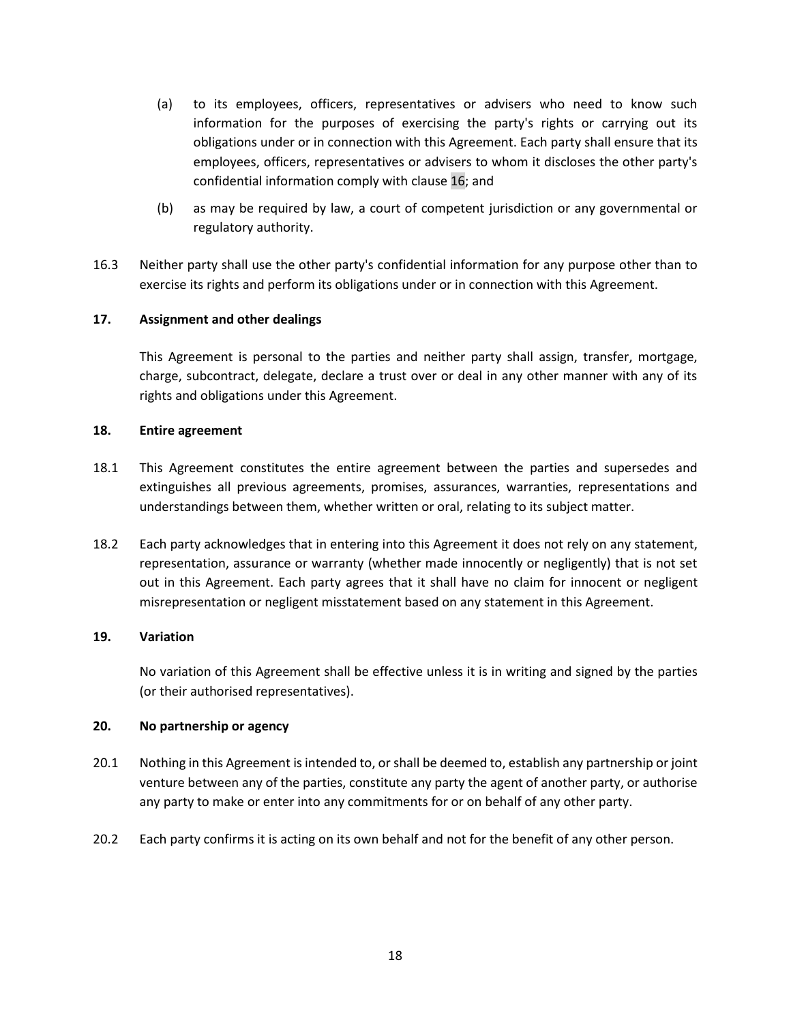- (a) to its employees, officers, representatives or advisers who need to know such information for the purposes of exercising the party's rights or carrying out its obligations under or in connection with this Agreement. Each party shall ensure that its employees, officers, representatives or advisers to whom it discloses the other party's confidential information comply with [clause 16;](#page-16-2) and
- (b) as may be required by law, a court of competent jurisdiction or any governmental or regulatory authority.
- 16.3 Neither party shall use the other party's confidential information for any purpose other than to exercise its rights and perform its obligations under or in connection with this Agreement.

## **17. Assignment and other dealings**

This Agreement is personal to the parties and neither party shall assign, transfer, mortgage, charge, subcontract, delegate, declare a trust over or deal in any other manner with any of its rights and obligations under this Agreement.

#### **18. Entire agreement**

- 18.1 This Agreement constitutes the entire agreement between the parties and supersedes and extinguishes all previous agreements, promises, assurances, warranties, representations and understandings between them, whether written or oral, relating to its subject matter.
- 18.2 Each party acknowledges that in entering into this Agreement it does not rely on any statement, representation, assurance or warranty (whether made innocently or negligently) that is not set out in this Agreement. Each party agrees that it shall have no claim for innocent or negligent misrepresentation or negligent misstatement based on any statement in this Agreement.

## **19. Variation**

No variation of this Agreement shall be effective unless it is in writing and signed by the parties (or their authorised representatives).

#### **20. No partnership or agency**

- 20.1 Nothing in this Agreement is intended to, or shall be deemed to, establish any partnership or joint venture between any of the parties, constitute any party the agent of another party, or authorise any party to make or enter into any commitments for or on behalf of any other party.
- 20.2 Each party confirms it is acting on its own behalf and not for the benefit of any other person.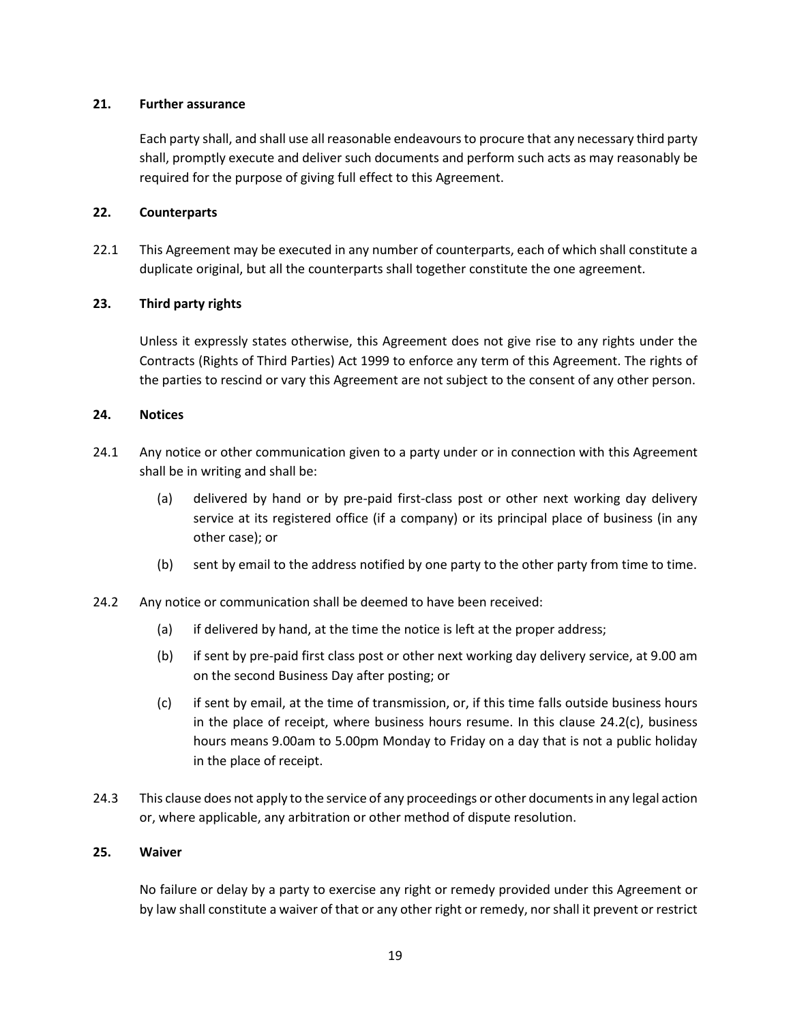#### **21. Further assurance**

Each party shall, and shall use all reasonable endeavours to procure that any necessary third party shall, promptly execute and deliver such documents and perform such acts as may reasonably be required for the purpose of giving full effect to this Agreement.

## **22. Counterparts**

22.1 This Agreement may be executed in any number of counterparts, each of which shall constitute a duplicate original, but all the counterparts shall together constitute the one agreement.

#### **23. Third party rights**

Unless it expressly states otherwise, this Agreement does not give rise to any rights under the Contracts (Rights of Third Parties) Act 1999 to enforce any term of this Agreement. The rights of the parties to rescind or vary this Agreement are not subject to the consent of any other person.

#### **24. Notices**

- 24.1 Any notice or other communication given to a party under or in connection with this Agreement shall be in writing and shall be:
	- (a) delivered by hand or by pre-paid first-class post or other next working day delivery service at its registered office (if a company) or its principal place of business (in any other case); or
	- (b) sent by email to the address notified by one party to the other party from time to time.
- 24.2 Any notice or communication shall be deemed to have been received:
	- (a) if delivered by hand, at the time the notice is left at the proper address;
	- (b) if sent by pre-paid first class post or other next working day delivery service, at 9.00 am on the second Business Day after posting; or
	- (c) if sent by email, at the time of transmission, or, if this time falls outside business hours in the place of receipt, where business hours resume. In this clause 24.2(c), business hours means 9.00am to 5.00pm Monday to Friday on a day that is not a public holiday in the place of receipt.
- 24.3 This clause does not apply to the service of any proceedings or other documents in any legal action or, where applicable, any arbitration or other method of dispute resolution.

#### **25. Waiver**

No failure or delay by a party to exercise any right or remedy provided under this Agreement or by law shall constitute a waiver of that or any other right or remedy, nor shall it prevent or restrict